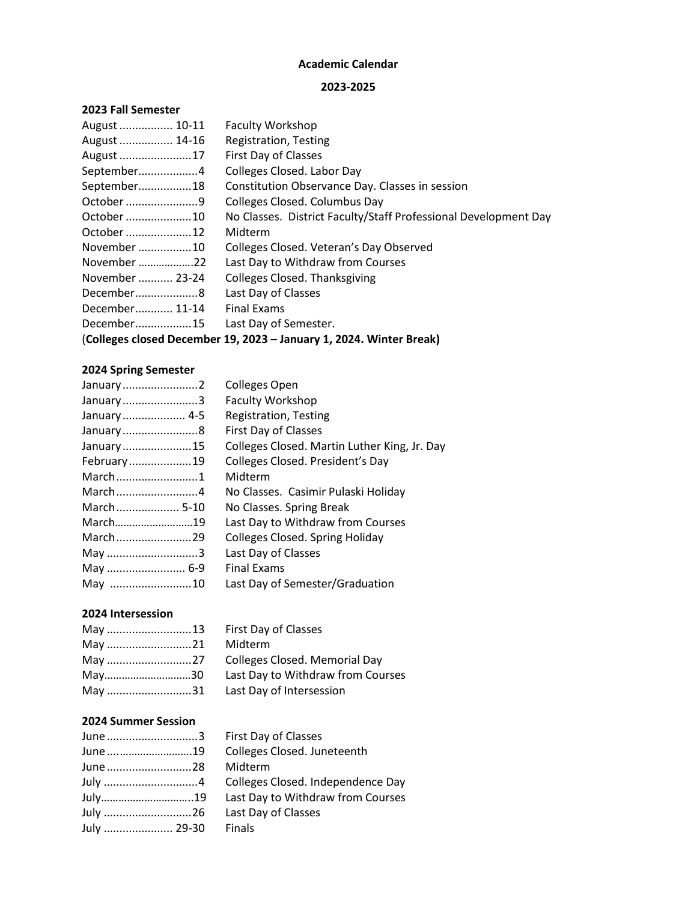# **Academic Calendar**

#### **2023-2025**

#### **2023 Fall Semester**

| August  10-11                                                       | <b>Faculty Workshop</b>                                         |  |
|---------------------------------------------------------------------|-----------------------------------------------------------------|--|
| August  14-16                                                       | Registration, Testing                                           |  |
| August 17                                                           | First Day of Classes                                            |  |
| September4                                                          | Colleges Closed. Labor Day                                      |  |
| September18                                                         | Constitution Observance Day. Classes in session                 |  |
| October 9                                                           | Colleges Closed. Columbus Day                                   |  |
| October 10                                                          | No Classes. District Faculty/Staff Professional Development Day |  |
| October 12                                                          | Midterm                                                         |  |
| November 10                                                         | Colleges Closed. Veteran's Day Observed                         |  |
| November 22                                                         | Last Day to Withdraw from Courses                               |  |
| November  23-24                                                     | <b>Colleges Closed. Thanksgiving</b>                            |  |
| December8                                                           | Last Day of Classes                                             |  |
| December 11-14                                                      | <b>Final Exams</b>                                              |  |
| December15                                                          | Last Day of Semester.                                           |  |
| (Colleges closed December 19, 2023 - January 1, 2024. Winter Break) |                                                                 |  |
|                                                                     |                                                                 |  |

# **2024 Spring Semester**

| January2    | <b>Colleges Open</b>                         |
|-------------|----------------------------------------------|
| January3    | <b>Faculty Workshop</b>                      |
| January 4-5 | Registration, Testing                        |
| January8    | First Day of Classes                         |
| January15   | Colleges Closed. Martin Luther King, Jr. Day |
| February19  | Colleges Closed. President's Day             |
| March1      | Midterm                                      |
| March4      | No Classes. Casimir Pulaski Holiday          |
| March 5-10  | No Classes. Spring Break                     |
| March19     | Last Day to Withdraw from Courses            |
| March29     | Colleges Closed. Spring Holiday              |
| May 3       | Last Day of Classes                          |
| May  6-9    | <b>Final Exams</b>                           |
| May 10      | Last Day of Semester/Graduation              |

# **2024 Intersession**

| May 21 Midterm |                                         |
|----------------|-----------------------------------------|
|                |                                         |
|                | May30 Last Day to Withdraw from Courses |
|                | May 31 Last Day of Intersession         |

## **2024 Summer Session**

| June 3          | <b>First Day</b> |
|-----------------|------------------|
| June         19 | Colleges         |
| June 28         | Midterm          |
| July 4          | Colleges         |
| July19          | Last Day         |
| July 26         | Last Day         |
| July  29-30     | Finals           |
|                 |                  |

ay of Classes es Closed. Juneteenth es Closed. Independence Day ay to Withdraw from Courses ay of Classes